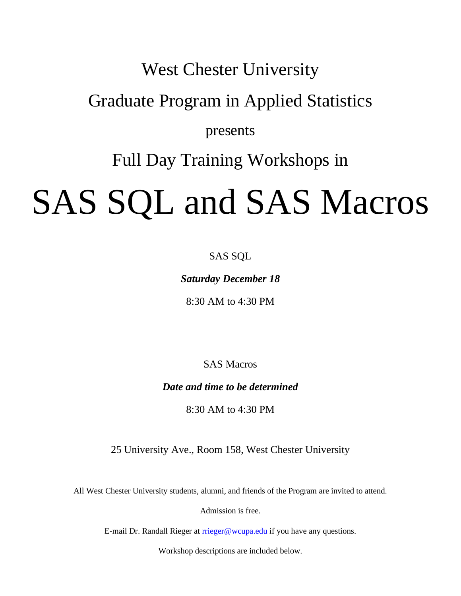# West Chester University

## Graduate Program in Applied Statistics

## presents

# Full Day Training Workshops in

# SAS SQL and SAS Macros

### SAS SQL

### *Saturday December 18*

8:30 AM to 4:30 PM

SAS Macros

*Date and time to be determined*

8:30 AM to 4:30 PM

25 University Ave., Room 158, West Chester University

All West Chester University students, alumni, and friends of the Program are invited to attend.

Admission is free.

E-mail Dr. Randall Rieger at [rrieger@wcupa.edu](mailto:rrieger@wcupa.edu) if you have any questions.

Workshop descriptions are included below.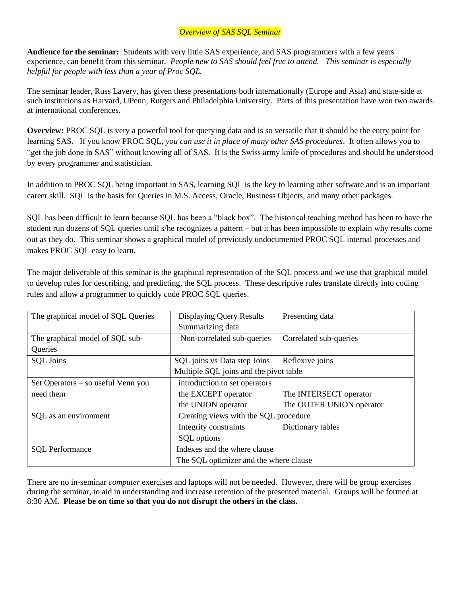### *Overview of SAS SQL Seminar*

**Audience for the seminar:** Students with very little SAS experience, and SAS programmers with a few years experience, can benefit from this seminar. *People new to SAS should feel free to attend. This seminar is especially helpful for people with less than a year of Proc SQL.*

The seminar leader, Russ Lavery, has given these presentations both internationally (Europe and Asia) and state-side at such institutions as Harvard, UPenn, Rutgers and Philadelphia University. Parts of this presentation have won two awards at international conferences.

**Overview:** PROC SQL is very a powerful tool for querying data and is so versatile that it should be the entry point for learning SAS. If you know PROC SQL, *you can use it in place of many other SAS procedures*. It often allows you to "get the job done in SAS" without knowing all of SAS. It is the Swiss army knife of procedures and should be understood by every programmer and statistician.

In addition to PROC SQL being important in SAS, learning SQL is the key to learning other software and is an important career skill. SQL is the basis for Queries in M.S. Access, Oracle, Business Objects, and many other packages.

SQL has been difficult to learn because SQL has been a "black box". The historical teaching method has been to have the student run dozens of SQL queries until s/he recognizes a pattern – but it has been impossible to explain why results come out as they do. This seminar shows a graphical model of previously undocumented PROC SQL internal processes and makes PROC SQL easy to learn.

The major deliverable of this seminar is the graphical representation of the SQL process and we use that graphical model to develop rules for describing, and predicting, the SQL process. These descriptive rules translate directly into coding rules and allow a programmer to quickly code PROC SQL queries.

| The graphical model of SQL Queries | <b>Displaying Query Results</b>        | Presenting data          |
|------------------------------------|----------------------------------------|--------------------------|
|                                    | Summarizing data                       |                          |
| The graphical model of SQL sub-    | Non-correlated sub-queries             | Correlated sub-queries   |
| Queries                            |                                        |                          |
| <b>SQL</b> Joins                   | SQL joins vs Data step Joins           | Reflexive joins          |
|                                    | Multiple SQL joins and the pivot table |                          |
| Set Operators – so useful Venn you | introduction to set operators          |                          |
| need them                          | the EXCEPT operator                    | The INTERSECT operator   |
|                                    | the UNION operator                     | The OUTER UNION operator |
| SQL as an environment              | Creating views with the SQL procedure  |                          |
|                                    | Integrity constraints                  | Dictionary tables        |
|                                    | SQL options                            |                          |
| <b>SQL</b> Performance             | Indexes and the where clause           |                          |
|                                    | The SQL optimizer and the where clause |                          |

There are no in-seminar *computer* exercises and laptops will not be needed. However, there will be group exercises during the seminar, to aid in understanding and increase retention of the presented material. Groups will be formed at 8:30 AM. **Please be on time so that you do not disrupt the others in the class.**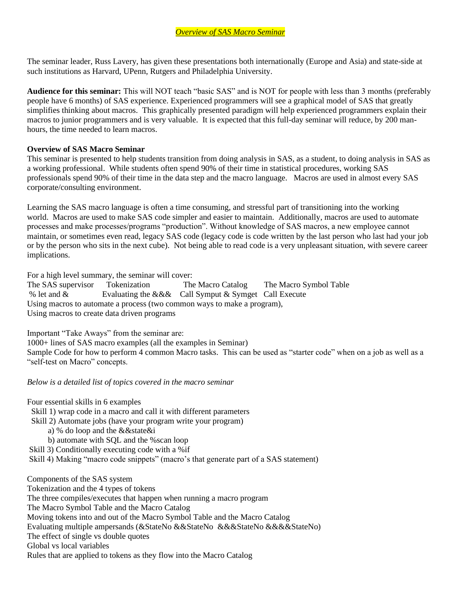The seminar leader, Russ Lavery, has given these presentations both internationally (Europe and Asia) and state-side at such institutions as Harvard, UPenn, Rutgers and Philadelphia University.

**Audience for this seminar:** This will NOT teach "basic SAS" and is NOT for people with less than 3 months (preferably people have 6 months) of SAS experience. Experienced programmers will see a graphical model of SAS that greatly simplifies thinking about macros. This graphically presented paradigm will help experienced programmers explain their macros to junior programmers and is very valuable. It is expected that this full-day seminar will reduce, by 200 manhours, the time needed to learn macros.

#### **Overview of SAS Macro Seminar**

This seminar is presented to help students transition from doing analysis in SAS, as a student, to doing analysis in SAS as a working professional. While students often spend 90% of their time in statistical procedures, working SAS professionals spend 90% of their time in the data step and the macro language. Macros are used in almost every SAS corporate/consulting environment.

Learning the SAS macro language is often a time consuming, and stressful part of transitioning into the working world. Macros are used to make SAS code simpler and easier to maintain. Additionally, macros are used to automate processes and make processes/programs "production". Without knowledge of SAS macros, a new employee cannot maintain, or sometimes even read, legacy SAS code (legacy code is code written by the last person who last had your job or by the person who sits in the next cube). Not being able to read code is a very unpleasant situation, with severe career implications.

For a high level summary, the seminar will cover:

The SAS supervisor Tokenization The Macro Catalog The Macro Symbol Table<br>
% let and & Evaluating the & & Call Symput & Symput Call Execute Evaluating the  $&&&$  Call Symput  $&$  Symget Call Execute Using macros to automate a process (two common ways to make a program), Using macros to create data driven programs

Important "Take Aways" from the seminar are:

1000+ lines of SAS macro examples (all the examples in Seminar)

Sample Code for how to perform 4 common Macro tasks. This can be used as "starter code" when on a job as well as a "self-test on Macro" concepts.

*Below is a detailed list of topics covered in the macro seminar*

Four essential skills in 6 examples

- Skill 1) wrap code in a macro and call it with different parameters
- Skill 2) Automate jobs (have your program write your program)
	- a) % do loop and the &&state&i
	- b) automate with SQL and the %scan loop
- Skill 3) Conditionally executing code with a %if

Skill 4) Making "macro code snippets" (macro's that generate part of a SAS statement)

Components of the SAS system Tokenization and the 4 types of tokens The three compiles/executes that happen when running a macro program The Macro Symbol Table and the Macro Catalog Moving tokens into and out of the Macro Symbol Table and the Macro Catalog Evaluating multiple ampersands (&StateNo &&StateNo &&&StateNo &&&&StateNo) The effect of single vs double quotes Global vs local variables Rules that are applied to tokens as they flow into the Macro Catalog